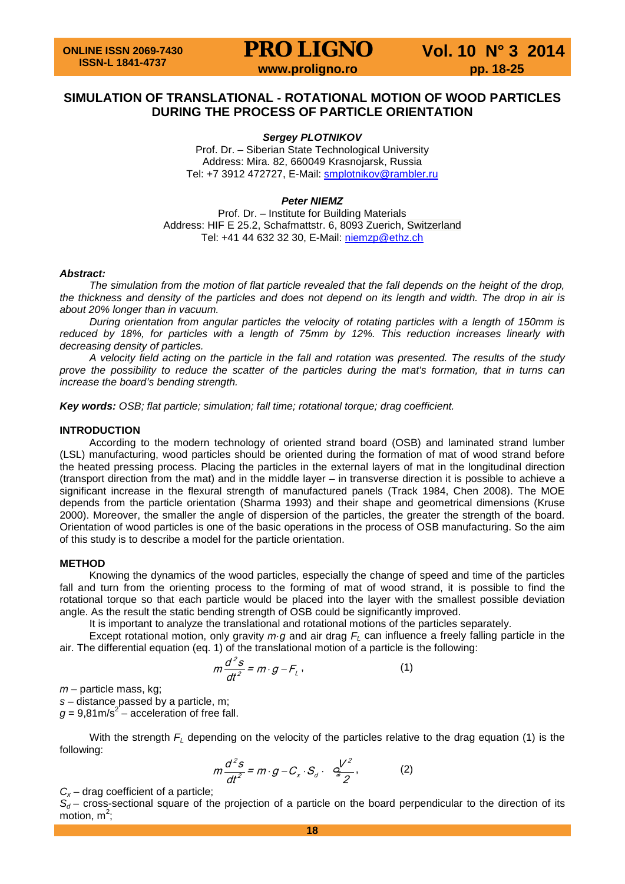### **SIMULATION OF TRANSLATIONAL - ROTATIONAL MOTION OF WOOD PARTICLES DURING THE PROCESS OF PARTICLE ORIENTATION**

### *Sergey PLOTNIKOV*

Prof. Dr. – Siberian State Technological University Address: Mira. 82, 660049 Krasnojarsk, Russia Tel: +7 3912 472727, E-Mail: [smplotnikov@rambler.ru](mailto:smplotnikov@rambler.ru)

### *Peter NIEMZ*

Prof. Dr. – Institute for Building Materials Address: [HIF E 25.2,](http://www.mapsearch.ethz.ch/map/map.do?gebaeudeMap=HIF&lang=en) Schafmattstr. 6, 8093 Zuerich, Switzerland Tel: +41 44 632 32 30, E-Mail: [niemzp@ethz.ch](mailto:niemzp@ethz.ch)

#### *Abstract:*

*The simulation from the motion of flat particle revealed that the fall depends on the height of the drop, the thickness and density of the particles and does not depend on its length and width. The drop in air is about 20% longer than in vacuum.*

*During orientation from angular particles the velocity of rotating particles with a length of 150mm is reduced by 18%, for particles with a length of 75mm by 12%. This reduction increases linearly with decreasing density of particles.*

*A velocity field acting on the particle in the fall and rotation was presented. The results of the study prove the possibility to reduce the scatter of the particles during the mat's formation, that in turns can increase the board's bending strength.*

*Key words: OSB; flat particle; simulation; fall time; [rotational torque;](http://lingvopro.abbyyonline.com/ru/Search/GlossaryItemExtraInfo?text=момент%20вращения&translation=rotational%20torque&srcLang=ru&destLang=en&author=Administrator) drag coefficient.*

#### **INTRODUCTION**

According to the modern technology of oriented strand board (OSB) and laminated strand lumber (LSL) manufacturing, wood particles should be oriented during the formation of mat of wood strand before the heated pressing process. Placing the particles in the external layers of mat in the longitudinal direction (transport direction from the mat) and in the middle layer – in transverse direction it is possible to achieve a significant increase in the flexural strength of manufactured panels (Track 1984, Chen 2008). The MOE depends from the particle orientation (Sharma 1993) and their shape and geometrical dimensions (Kruse 2000). Moreover, the smaller the angle of dispersion of the particles, the greater the strength of the board. Orientation of wood particles is one of the basic operations in the process of OSB manufacturing. So the aim of this study is to describe a model for the particle orientation.

#### **METHOD**

Knowing the dynamics of the wood particles, especially the change of speed and time of the particles fall and turn from the orienting process to the forming of mat of wood strand, it is possible to find the [rotational torque](http://lingvopro.abbyyonline.com/ru/Search/GlossaryItemExtraInfo?text=момент%20вращения&translation=rotational%20torque&srcLang=ru&destLang=en&author=Administrator) so that each particle would be placed into the layer with the smallest possible deviation angle. As the result the static bending strength of OSB could be significantly improved.

It is important to analyze the translational and rotational motions of the particles separately.

Except rotational motion, only gravity *m·g* and air drag  $F<sub>L</sub>$  can influence a freely falling particle in the air. The differential equation (eq. 1) of the translational motion of a particle is the following:

$$
m\frac{d^2s}{dt^2} = m \cdot g - F_{\perp},\tag{1}
$$

*m –* particle mass, kg;

*s –* distance passed by a particle, m;

 $q = 9.81 \text{m/s}^2$  – acceleration of free fall.

With the strength  $F<sub>L</sub>$  depending on the velocity of the particles relative to the drag equation (1) is the following:

$$
m\frac{d^2s}{dt^2} = m \cdot g - C_x \cdot S_d \cdot \frac{dV^2}{2}, \qquad (2)
$$

 $C_x$  – drag coefficient of a particle;

 $S_d$  – cross-sectional square of the projection of a particle on the board perpendicular to the direction of its motion,  $m^2$ ;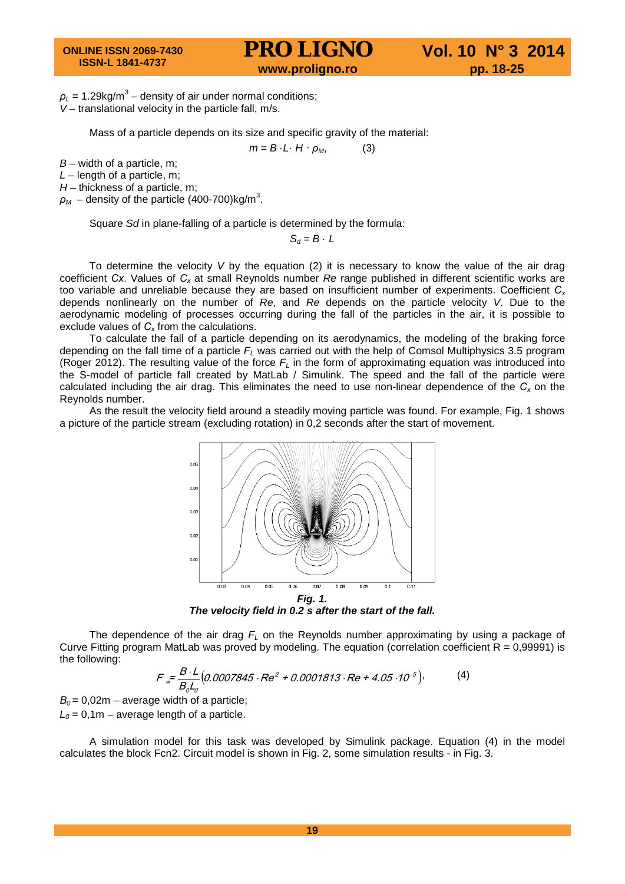$\rho_L$  = 1.29kg/m<sup>3</sup> – density of air under normal conditions; *V* – translational velocity in the particle fall, m/s.

Mass of a particle depends on its size and specific gravity of the material:

 $m = B \cdot L \cdot H \cdot \rho_M$ , (3)

*B* – width of a particle, m;

*L* – length of a particle, m;

*H* – thickness of a particle, m;

 $\rho_{\scriptscriptstyle M}$  – density of the particle (400-700)kg/m $^3$ .

Square *Sd* in plane-falling of a particle is determined by the formula:

 $S_d = B \cdot L$ 

To determine the velocity *V* by the equation (2) it is necessary to know the value of the air drag coefficient *Сх*. Values of *Сх* at small Reynolds number *Re* range published in different scientific works are too variable and unreliable because they are based on insufficient number of experiments. Coefficient *Сх* depends nonlinearly on the number of *Re*, and *Re* depends on the particle velocity *V*. Due to the aerodynamic modeling of processes occurring during the fall of the particles in the air, it is possible to exclude values of  $C_x$  from the calculations.

To calculate the fall of a particle depending on its aerodynamics, the modeling of the braking force depending on the fall time of a particle *FL* was carried out with the help of Comsol Multiphysics 3.5 program (Roger 2012). The resulting value of the force *FL* in the form of approximating equation was introduced into the S-model of particle fall created by MatLab / Simulink. The speed and the fall of the particle were calculated including the air drag. This eliminates the need to use non-linear dependence of the *Сх* on the Reynolds number.

As the result the velocity field around a steadily moving particle was found. For example, Fig. 1 shows a picture of the particle stream (excluding rotation) in 0,2 seconds after the start of movement.



*The velocity field in 0.2 s after the start of the fall.*

The dependence of the air drag *FL* on the Reynolds number approximating by using a package of Curve Fitting program MatLab was proved by modeling. The equation (correlation coefficient  $R = 0,99991$ ) is the following:

$$
F = \frac{B \cdot L}{B_0 L_0} (0.0007845 \cdot Re^2 + 0.0001813 \cdot Re + 4.05 \cdot 10^{-5}),
$$
 (4)

 $B<sub>0</sub> = 0,02m$  – average width of a particle;  $L_0$  = 0,1m – average length of a particle.

A simulation model for this task was developed by Simulink package. Equation (4) in the model calculates the block Fcn2. Circuit model is shown in Fig. 2, some simulation results - in Fig. 3.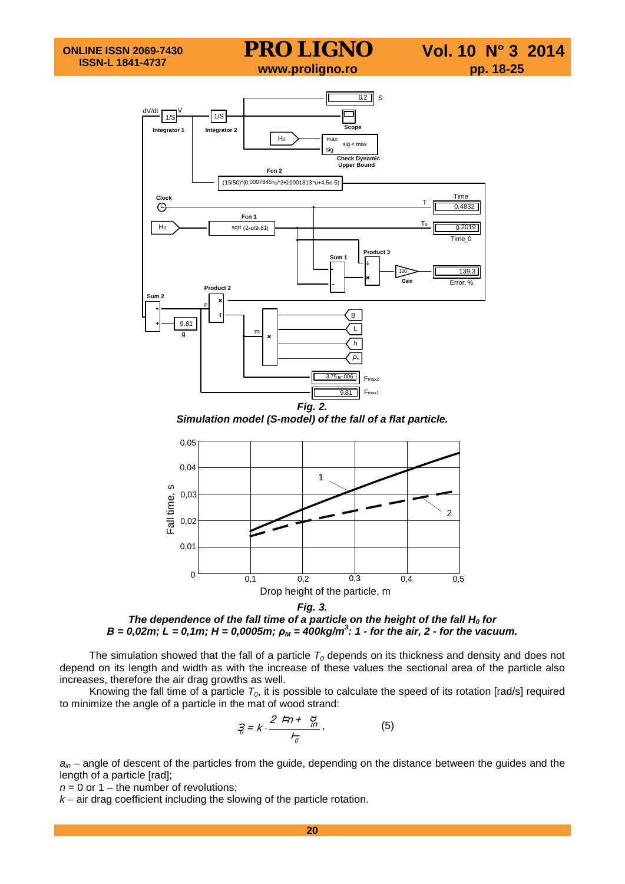

*Simulation model (S-model) of the fall of a flat particle.*



*The dependence of the fall time of a particle on the height of the fall H<sub>0</sub> for B = 0,02m; L = 0,1m; H = 0,0005m; ρ<sup>M</sup> = 400kg/m<sup>3</sup> : 1 - for the air, 2 - for the vacuum.*

The simulation showed that the fall of a particle  $T_0$  depends on its thickness and density and does not depend on its length and width as with the increase of these values the sectional area of the particle also increases, therefore the air drag growths as well.

Knowing the fall time of a particle  $T_0$ , it is possible to calculate the speed of its rotation [rad/s] required to minimize the angle of a particle in the mat of wood strand:

$$
\mathcal{F} = k \cdot \frac{2 \pi + \frac{g}{m}}{r_{\sigma}},\tag{5}
$$

*ain* – angle of descent of the particles from the guide, depending on the distance between the guides and the length of a particle [rad];

 $n = 0$  or 1 – the number of revolutions;

*k* – air drag coefficient including the slowing of the particle rotation.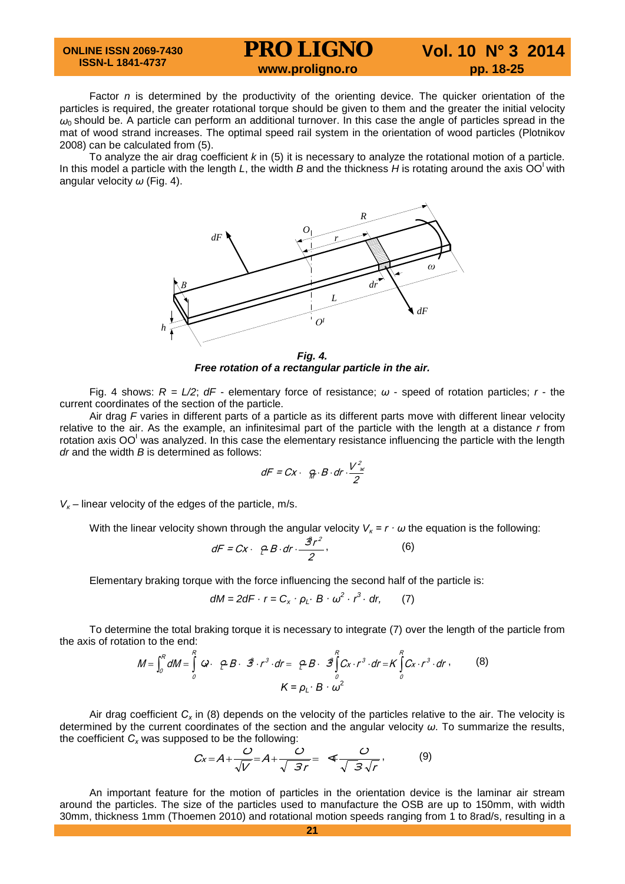#### **ONLINE ISSN 2069-7430 ISSN-L 1841-4737**

### **PRO LIGNO** Vol. 10 N° 3 2014<br>www.proligno.ro pp. 18-25

Factor *n* is determined by the productivity of the orienting device. The quicker orientation of the particles is required, the greater [rotational torque](http://lingvopro.abbyyonline.com/ru/Search/GlossaryItemExtraInfo?text=момент%20вращения&translation=rotational%20torque&srcLang=ru&destLang=en&author=Administrator) should be given to them and the greater the initial velocity  $ω_0$  should be. A particle can perform an additional turnover. In this case the angle of particles spread in the mat of wood strand increases. The optimal speed rail system in the orientation of wood particles (Plotnikov 2008) can be calculated from (5).

To analyze the air drag coefficient *k* in (5) it is necessary to analyze the rotational motion of a particle. In this model a particle with the length L, the width B and the thickness H is rotating around the axis  $OO<sup>1</sup>$  with angular velocity *ω* (Fig. 4).



*Free rotation of a rectangular particle in the air.*

Fig. 4 shows: *R = L/2*; *dF* - elementary force of resistance; *ω* - speed of rotation particles; *r* - the current coordinates of the section of the particle.

Air drag *F* varies in different parts of a particle as its different parts move with different linear velocity relative to the air. As the example, an infinitesimal part of the particle with the length at a distance *r* from rotation axis OO<sup>I</sup> was analyzed. In this case the elementary resistance influencing the particle with the length *dr* and the width *B* is determined as follows:

$$
dF = Cx \cdot \theta \cdot B \cdot dr \cdot \frac{V^2}{2}
$$

 $V_{\kappa}$  – linear velocity of the edges of the particle, m/s.

With the linear velocity shown through the angular velocity  $V_k = r \cdot \omega$  the equation is the following:

$$
dF = Cx \cdot \rho B \cdot dr \cdot \frac{\hat{\mathcal{B}}r^2}{2},
$$
 (6)

Elementary braking torque with the force influencing the second half of the particle is:

$$
dM = 2dF \cdot r = C_x \cdot \rho_L \cdot B \cdot \omega^2 \cdot r^3 \cdot dr, \qquad (7)
$$

To determine the total braking torque it is necessary to integrate (7) over the length of the particle from the axis of rotation to the end:

$$
M = \int_0^R dM = \int_0^R \omega \cdot \rho B \cdot \hat{\mathcal{B}} \cdot r^3 \cdot dr = \rho B \cdot \hat{\mathcal{B}} \int_0^R C_X \cdot r^3 \cdot dr = K \int_0^R C_X \cdot r^3 \cdot dr \,, \tag{8}
$$
\n
$$
K = \rho_L \cdot B \cdot \omega^2
$$

Air drag coefficient *Сх* in (8) depends on the velocity of the particles relative to the air. The velocity is determined by the current coordinates of the section and the angular velocity *ω*. To summarize the results, the coefficient  $C_x$  was supposed to be the following:

$$
Cx = A + \frac{C}{\sqrt{V}} = A + \frac{C}{\sqrt{3r}} = \Phi \frac{C}{\sqrt{3\sqrt{r}}},
$$
 (9)

An important feature for the motion of particles in the orientation device is the laminar air stream around the particles. The size of the particles used to manufacture the OSB are up to 150mm, with width 30mm, thickness 1mm (Thoemen 2010) and rotational motion speeds ranging from 1 to 8rad/s, resulting in a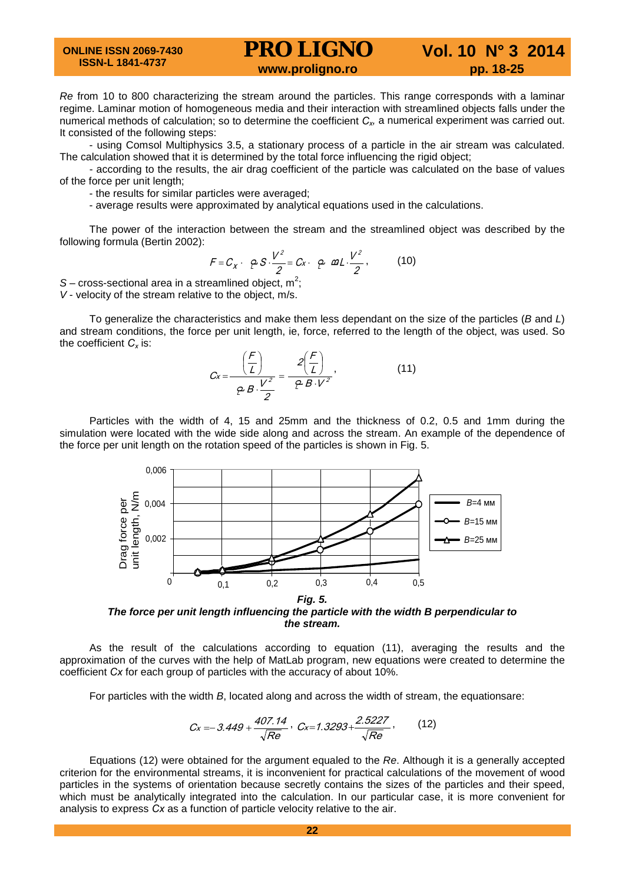**ONLINE ISSN 2069-7430 ISSN-L 1841-4737**

## **PRO LIGNO** Vol. 10 N° 3 2014<br>www.proligno.ro pp. 18-25

*Re* from 10 to 800 characterizing the stream around the particles. This range corresponds with a laminar regime. Laminar motion of homogeneous media and their interaction with streamlined objects falls under the numerical methods of calculation; so to determine the coefficient  $C_x$ , a numerical experiment was carried out. It consisted of the following steps:

- using Comsol Multiphysics 3.5, a stationary process of a particle in the air stream was calculated. The calculation showed that it is determined by the total force influencing the rigid object;

- according to the results, the air drag coefficient of the particle was calculated on the base of values of the force per unit length;

- the results for similar particles were averaged;

- average results were approximated by analytical equations used in the calculations.

The power of the interaction between the stream and the streamlined object was described by the following formula (Bertin 2002):

$$
F = C_x \cdot \rho S \cdot \frac{V^2}{2} = C_x \cdot \rho \omega_L \cdot \frac{V^2}{2},
$$
 (10)

 $S$  – cross-sectional area in a streamlined object,  $m^2$ ; *V* - velocity of the stream relative to the object, m/s.

To generalize the characteristics and make them less dependant on the size of the particles (*B* and *L*) and stream conditions, the force per unit length, ie, force, referred to the length of the object, was used. So the coefficient  $C_x$  is:

$$
C_x = \frac{\left(\frac{F}{L}\right)}{P B \cdot \frac{V^2}{2}} = \frac{2\left(\frac{F}{L}\right)}{P B \cdot V^2},
$$
(11)

Particles with the width of 4, 15 and 25mm and the thickness of 0.2, 0.5 and 1mm during the simulation were located with the wide side along and across the stream. An example of the dependence of the force per unit length on the rotation speed of the particles is shown in Fig. 5.



*The force per unit length influencing the particle with the width B perpendicular to the stream.*

As the result of the calculations according to equation (11), averaging the results and the approximation of the curves with the help of MatLab program, new equations were created to determine the coefficient *Сх* for each group of particles with the accuracy of about 10%.

For particles with the width *B*, located along and across the width of stream, the equationsare:

$$
C_x = -3.449 + \frac{407.14}{\sqrt{Re}}, \ C_x = 1.3293 + \frac{2.5227}{\sqrt{Re}}, \qquad (12)
$$

Equations (12) were obtained for the argument equaled to the *Re*. Although it is a generally accepted criterion for the environmental streams, it is inconvenient for practical calculations of the movement of wood particles in the systems of orientation because secretly contains the sizes of the particles and their speed, which must be analytically integrated into the calculation. In our particular case, it is more convenient for analysis to express *Сх* as a function of particle velocity relative to the air.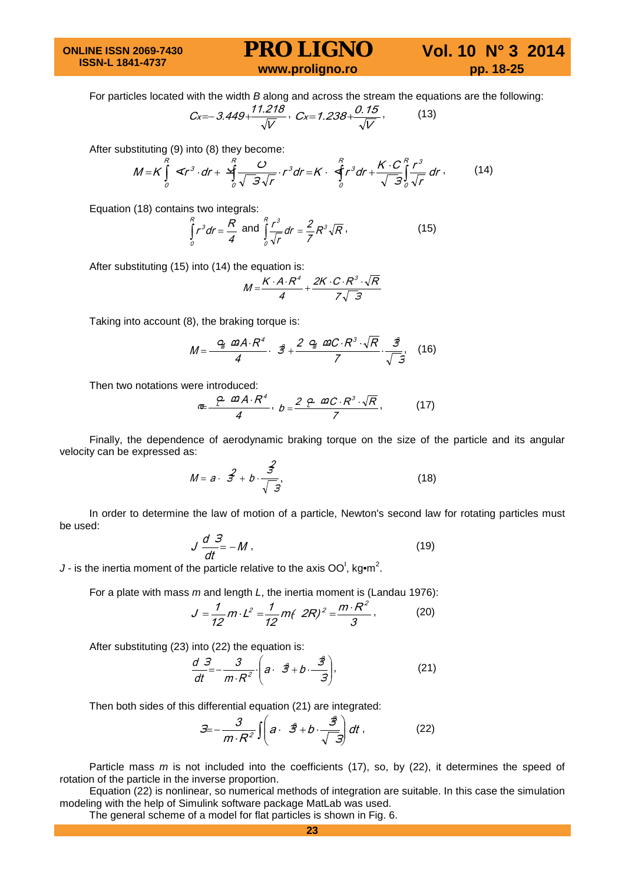**ONLINE ISSN 2069-7430 ISSN-L 1841-4737**

## **PRO LIGNO** Vol. 10 N° 3 2014<br>www.proligno.ro pp. 18-25

For particles located with the width *B* along and across the stream the equations are the following:

$$
C_{X}=-3.449+\frac{11.218}{\sqrt{V}},\ C_{X}=1.238+\frac{0.15}{\sqrt{V}},\ (13)
$$

After substituting (9) into (8) they become:

$$
M = K \int_{0}^{R} \mathcal{L}r^{3} \cdot dr + \frac{R}{J} \frac{C}{\sqrt{3}\sqrt{r}} \cdot r^{3} dr = K \cdot \oint_{0}^{R} r^{3} dr + \frac{K \cdot C}{\sqrt{3}} \int_{0}^{R} \frac{r^{3}}{\sqrt{r}} dr \,, \tag{14}
$$

Equation (18) contains two integrals:

4 r ${}^3$ dr =  $\frac{R}{\Box}$ R  $\int_{0}^{R} r^{3} dr = \frac{R}{4}$  and  $\int_{0}^{R} \frac{r^{3}}{\sqrt{r}} dr = \frac{2}{7} R^{3} \sqrt{R}$ r  $\int_1^R r^3 dr = 2R^3$ 0  $\int_{\sqrt{r}}^{R} \frac{r^3}{\sqrt{r}} dr = \frac{2}{7} R^3 \sqrt{R}$ , (15)

After substituting (15) into (14) the equation is:

$$
M = \frac{K \cdot A \cdot R^4}{4} + \frac{2K \cdot C \cdot R^3 \cdot \sqrt{R}}{7\sqrt{3}}
$$

Taking into account (8), the braking torque is:

$$
M=\frac{Q_{\text{m}}\ \Omega A\cdot R^4}{4}\cdot\ \ \mathcal{Z}+\frac{2\ \ Q_{\text{m}}\ \Omega C\cdot R^3\cdot \sqrt{R}}{7}\cdot\frac{\mathcal{Z}}{\sqrt{5}},\tag{16}
$$

Then two notations were introduced:

$$
\mathbf{d} = \frac{\rho \cdot \mathbf{d}A \cdot R^4}{4}, \quad b = \frac{2 \cdot \rho \cdot \mathbf{d}C \cdot R^3 \cdot \sqrt{R}}{7}, \tag{17}
$$

Finally, the dependence of aerodynamic braking torque on the size of the particle and its angular velocity can be expressed as:

$$
M = a \cdot \hat{S} + b \cdot \frac{\hat{S}}{\sqrt{\hat{S}}},\tag{18}
$$

In order to determine the law of motion of a particle, Newton's second law for rotating particles must be used:

$$
J\frac{d}{dt} = -M\,,\tag{19}
$$

*J* - is the inertia moment of the particle relative to the axis  $OO<sup>1</sup>$ , kg•m<sup>2</sup>.

For a plate with mass *m* and length *L*, the inertia moment is (Landau 1976):

$$
J = \frac{1}{12} m \cdot L^2 = \frac{1}{12} m \left( 2R \right)^2 = \frac{m \cdot R^2}{3},
$$
 (20)

After substituting (23) into (22) the equation is:

$$
\frac{d}{dt}\frac{\partial^2}{\partial t^2} - \frac{\partial^2}{\partial t^2} \cdot \left(a \cdot \hat{\mathcal{B}} + b \cdot \frac{\hat{\mathcal{B}}}{\hat{\mathcal{B}}}\right),\tag{21}
$$

Then both sides of this differential equation (21) are integrated:

$$
\mathcal{Z} = -\frac{3}{m \cdot R^2} \iint \left( a \cdot \vec{\mathcal{B}} + b \cdot \frac{\vec{\mathcal{B}}}{\sqrt{-\mathcal{B}}} \right) dt \,, \tag{22}
$$

Particle mass *m* is not included into the coefficients (17), so, by (22), it determines the speed of rotation of the particle in the inverse proportion.

Equation (22) is nonlinear, so numerical methods of integration are suitable. In this case the simulation modeling with the help of Simulink software package MatLab was used.

The general scheme of a model for flat particles is shown in Fig. 6.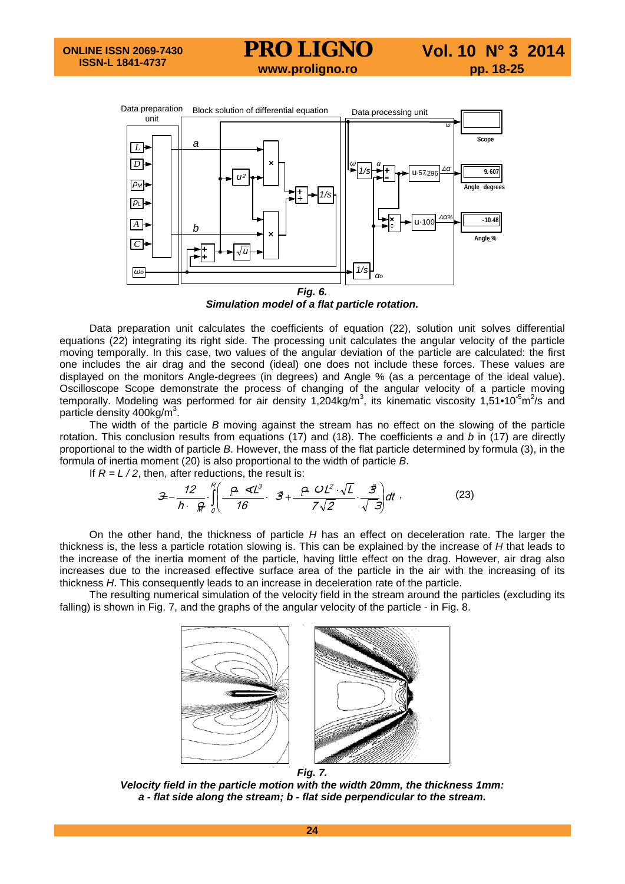# **PRO LIGNO** Vol. 10 N° 3 2014<br>www.proligno.ro pp. 18-25



*Simulation model of a flat particle rotation.*

Data preparation unit calculates the coefficients of equation (22), solution unit solves differential equations (22) integrating its right side. The processing unit calculates the angular velocity of the particle moving temporally. In this case, two values of the angular deviation of the particle are calculated: the first one includes the air drag and the second (ideal) one does not include these forces. These values are displayed on the monitors Angle-degrees (in degrees) and Angle % (as a percentage of the ideal value). Oscilloscope Scope demonstrate the process of changing of the angular velocity of a particle moving temporally. Modeling was performed for air density 1,204kg/m<sup>3</sup>, its kinematic viscosity 1,51•10<sup>-5</sup>m<sup>2</sup>/s and particle density  $400$ kg/m<sup>3</sup>.

The width of the particle *B* moving against the stream has no effect on the slowing of the particle rotation. This conclusion results from equations (17) and (18). The coefficients *a* and *b* in (17) are directly proportional to the width of particle *B*. However, the mass of the flat particle determined by formula (3), in the formula of inertia moment (20) is also proportional to the width of particle *B*.

If  $R = L/2$ , then, after reductions, the result is:

$$
\mathcal{Z} - \frac{12}{h} \int_{0}^{R} \left( \frac{\rho \ll l^{3}}{16} \cdot \vec{\mathcal{Z}} + \frac{\rho \; \mathcal{O} \, l^{2} \cdot \sqrt{l}}{7 \sqrt{2}} \cdot \frac{\vec{\mathcal{Z}}}{\sqrt{\vec{\mathcal{Z}}}} \right) dt \; , \tag{23}
$$

On the other hand, the thickness of particle *H* has an effect on deceleration rate. The larger the thickness is, the less a particle rotation slowing is. This can be explained by the increase of *H* that leads to the increase of the inertia moment of the particle, having little effect on the drag. However, air drag also increases due to the increased effective surface area of the particle in the air with the increasing of its thickness *H*. This consequently leads to an increase in deceleration rate of the particle.

The resulting numerical simulation of the velocity field in the stream around the particles (excluding its falling) is shown in Fig. 7, and the graphs of the angular velocity of the particle - in Fig. 8.



*Velocity field in the particle motion with the width 20mm, the thickness 1mm: a - flat side along the stream; b - flat side perpendicular to the stream.*